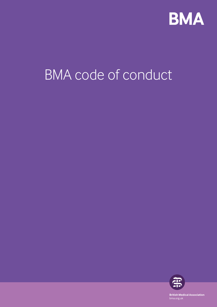

# BMA code of conduct



**British Medical Association** bma.org.uk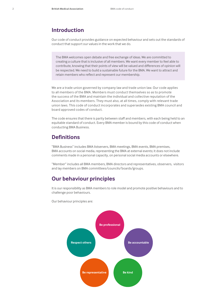### **Introduction**

Our code of conduct provides guidance on expected behaviour and sets out the standards of conduct that support our values in the work that we do.

The BMA welcomes open debate and free exchange of ideas. We are committed to creating a culture that is inclusive of all members. We want every member to feel able to contribute, knowing that their points of view will be valued and differences of opinion will be respected. We need to build a sustainable future for the BMA. We want to attract and retain members who reflect and represent our membership.

We are a trade union governed by company law and trade union law. Our code applies to all members of the BMA. Members must conduct themselves so as to promote the success of the BMA and maintain the individual and collective reputation of the Association and its members. They must also, at all times, comply with relevant trade union laws. This code of conduct incorporates and supersedes existing BMA council and board approved codes of conduct.

The code ensures that there is parity between staff and members, with each being held to an equitable standard of conduct. Every BMA member is bound by this code of conduct when conducting BMA Business.

## **Definitions**

"BMA Business" includes BMA listservers, BMA meetings, BMA events, BMA premises, BMA accounts on social media, representing the BMA at external events; it does not include comments made in a personal capacity, on personal social media accounts or elsewhere.

"Member" includes all BMA members, BMA directors and representatives, observers, visitors and lay members on BMA committees/councils/boards/groups.

## **Our behaviour principles**

It is our responsibility as BMA members to role model and promote positive behaviours and to challenge poor behaviours.



Our behaviour principles are: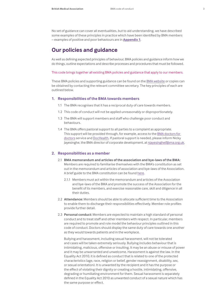No set of guidance can cover all eventualities, but to aid understanding, we have described some examples of these principles in practice which have been identified by BMA members – examples of positive and poor behaviours are in **[Appendix 1](#page-6-0)**.

## **Our policies and guidance**

As well as defining expected principles of behaviour, BMA policies and guidance inform how we do things, outline expectations and describe processes and procedures that must be followed.

This code brings together all existing BMA policies and guidance that apply to our members.

These BMA policies and supporting guidance can be found on the [BMA website](https://www.bma.org.uk/collective-voice/committees/committee-policies) or copies can be obtained by contacting the relevant committee secretary. The key principles of each are outlined below.

#### **1. Responsibilities of the BMA towards members**

- 1.1 The BMA recognises that it has a reciprocal duty of care towards members.
- 1.2 This code of conduct will not be applied unreasonably or disproportionately.
- 1.3 The BMA will support members and staff who challenge poor conduct and behaviours.
- 1.4 The BMA offers pastoral support to all parties to a complaint as appropriate. This support will be provided through, for example, access to the [BMA doctors for](https://www.bma.org.uk/advice/work-life-support/your-wellbeing/bma-counselling-and-doctor-adviser-service)  [doctors](https://www.bma.org.uk/advice/work-life-support/your-wellbeing/bma-counselling-and-doctor-adviser-service) service and [DocHealth.](http://www.dochealth.org.uk) If pastoral support is needed, please inform Nicky Jayesinghe, the BMA director of corporate development, at njayesinghe@bma.org.uk.

#### **2. Responsibilities as a member**

- 2.1 **BMA memorandum and articles of the association and bye-laws of the BMA:**  Members are required to familiarise themselves with the BMA's constitution as set out in the memorandum and articles of association and bye-laws of the Association. A brief guide to the BMA constitution can be found [here](https://www.bma.org.uk/collective-voice/committees/committee-policies/committees-bma-constitution).
	- 2.1.1 Members must act within the memorandum and articles of the Association and bye-laws of the BMA and promote the success of the Association for the benefit of its members, and exercise reasonable care, skill and diligence in all their duties.
- 2.2 **Attendance:** Members should be able to allocate sufficient time to the Association to enable them to discharge their responsibilities effectively. Member role profiles provide further detail.
- 2.3 **Personal conduct:** Members are expected to maintain a high standard of personal conduct and to treat staff and other members with respect. In particular, members are required to promote and role model the behaviour principles outlined in this code of conduct. Doctors should display the same duty of care towards one another as they would towards patients and in the workplace.

Bullying and harassment, including sexual harassment, will not be tolerated and cases will be taken extremely seriously. Bullying includes behaviour that is intimidating, malicious, offensive or insulting. It may be an abuse or misuse of power and it may be unwarranted and unwelcome. Harassment is against the law. In the Equality Act 2010, it is defined as conduct that is related to one of the protected characteristics (age, race, religion or belief, gender reassignment, disability, sex, or sexual orientation). It is unwanted by the recipient and it has the purpose or the effect of violating their dignity or creating a hostile, intimidating, offensive, degrading or humiliating environment for them. Sexual harassment is separately defined in the Equality Act 2010 as unwanted conduct of a sexual nature which has the same purpose or effect.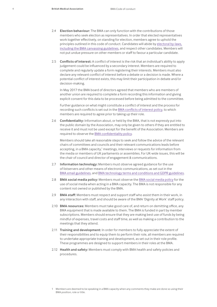- 2.4 **Election behaviour:** The BMA can only function with the contributions of those members who seek election as representatives. In order that elected representatives work together effectively, on standing for election, members agree to uphold the principles outlined in this code of conduct. Candidates will abide by [electoral by-laws,](https://www.bma.org.uk/collective-voice/committees/online-elections/essential-information) [including the BMA canvassing guidelines](https://www.bma.org.uk/collective-voice/committees/online-elections/essential-information), and respect other candidates. Members will not put undue pressure on other members or staff to favour a particular candidate.
- 2.5 **Conflicts of interest:** A conflict of interest is the risk that an individual's ability to apply judgement could be influenced by a secondary interest. Members are required to complete and regularly update a form registering their interests. Members must also declare any relevant conflict of interest before a debate or a decision is made. Where a potential conflict of interest exists, this may limit their participation in debate and/or decision-making.

In May 2017 the BMA board of directors agreed that members who are members of another union are required to complete a form recording this information and giving explicit consent for this data to be processed before being admitted to the committee.

Further guidance on what might constitute a conflict of interest and the process for recording such conflicts is set out in the [BMA conflicts of interest policy](https://www.bma.org.uk/collective-voice/committees/committee-policies/committees-conflicts-of-interest-policy), to which members are required to agree prior to taking up their role.

2.6 **Confidentiality:** Information about, or held by the BMA, that is not expressly put into the public domain by the Association, may only be given to others if they are entitled to receive it and must not be used except for the benefit of the Association. Members are required to observe the [BMA confidentiality policy](https://www.bma.org.uk/collective-voice/committees/committee-policies/committees-confidentiality-policy).

Members should take all reasonable steps to seek and follow the advice of the relevant chairs of committees and councils and their relevant communications leads before accepting, in a BMA capacity,<sup>1</sup> meetings, interviews or requests for information from the media or members of UK parliaments or assemblies. For UK-wide issues, this will be the chair of council and director of engagement & communications.

- 2.7 **Information technology:** Members must observe agreed guidance for the use of listservers and other means of electronic communications, as set out in the [BMA email guidelines](https://www.bma.org.uk/collective-voice/committees/committee-policies/committees-email-guidelines), and [BMA technology terms and conditions and GDPR guidelines.](https://www.bma.org.uk/collective-voice/committees/committee-policies/committees-technology-tcs)
- 2.8 **[BMA social media policy:](https://www.bma.org.uk/collective-voice/committees/committee-policies/committees-use-of-social-media)** Members must observe the [BMA social media policy](https://www.bma.org.uk/collective-voice/committees/committee-policies/committees-use-of-social-media) for the use of social media when acting in a BMA capacity. The BMA is not responsible for any content not owned or published by the BMA.
- 2.9 **BMA staff:** Members must respect and support staff who assist them in their work, in any interaction with staff, and should be aware of the BMA 'Dignity at Work' staff policy.
- 2.10 **BMA resources:** Members must take good care of, and return on demitting office, any BMA equipment that is made available to them. The BMA is funded in part by member subscriptions. Members should ensure that they are making best use of funds by being mindful of expenses, travel costs and staff time, as well as making a contribution to the meetings that they attend.
- 2.11 **Training and development:** In order for members to fully appreciate the extent of their responsibilities and to equip them to perform their role, all members are required to undertake appropriate training and development, as set out in their role profile. These programmes are designed to support members in their roles at the BMA.
- 2.12 **Health and safety:** Members must comply with BMA health and safety policies and procedures.

<sup>1</sup> Members are deemed to be speaking in a BMA capacity when any comments they make are done so using their BMA position, role or title.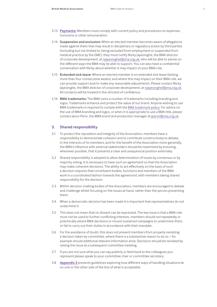- 2.13 **[Payments:](https://www.bma.org.uk/collective-voice/committees/committee-policies/committees-expenses-and-honoraria)** Members must comply with current policy and procedures on expenses, honoraria or other remuneration.
- 2.14 **Suspension and exclusion:** When an elected member becomes aware of allegations made against them that may result in disciplinary or regulatory action by third parties (including but not limited to, being excluded from employment or suspended from medical practice by the GMC), they must notify Nicky Jayesinghe, the BMA director of corporate development, at njayesinghe@bma.org.uk, who will be able to advise on the different ways the BMA may be able to support. You can also have a confidential conversation with Nicky about whether it may impact on your BMA role.
- 2.15 **Extended sick leave:** Where an elected member is on extended sick leave (lasting more than four consecutive weeks), and where this may impact on their BMA role, we can provide support and/or make any reasonable adjustments. Please contact Nicky Jayesinghe, the BMA director of corporate development, at njayesinghe@bma.org.uk. All contacts will be treated in the strictest of confidence.
- 2.16 **BMA trademarks:** The BMA owns a number of trademarks including branding and logos. Trademarks enhance and protect the value of our brand. Anyone wishing to use BMA trademarks is required to comply with the BMA [trademark policy.](https://www.bma.org.uk/collective-voice/committees/committee-policies/committees-trademark-policy) For advice on the use of BMA branding and logos, or when it is appropriate to use a BMA title, please contact Jason Penn, the BMA brand and production manager at jpenn@bma.org.uk.

#### **3. Shared responsibility**

- 3.1 To protect the reputation and integrity of the Association, members have a responsibility to demonstrate cohesion and to contribute constructively to debate. In the interests of its members, and for the benefit of the Association more generally, the BMA's influence with external stakeholders should be maximised by ensuring, whenever possible, that it presents a clear and unequivocal position externally.
- 3.2 Shared responsibility is adopted to allow determination of issues by consensus or by majority voting. It is necessary to have such an agreement so that the Association may make coherent decisions. The ability to act effectively on the basis of such a decision requires that constituent bodies, functions and members of the BMA work in a coordinated fashion towards the agreed end, with members taking shared responsibility for the decision.
- 3.3 Within decision-making bodies of the Association, members are encouraged to debate and challenge whilst focusing on the issues at hand, rather than the person presenting them.
- 3.4 When a democratic decision has been made it is important that representatives do not undermine it.
- 3.5 This does not mean that no dissent can be expressed. The key issue is that a BMA role must not be used to further conflicting interests, members should not repeatedly or polemically attack BMA decisions or mount sustained campaigns to undermine them, or fail to carry out their duties in accordance with their mandate.
- 3.6 For the avoidance of doubt, this does not prevent members from properly revisiting a decision taken by committee, where there is a substantive reason to do so – for example should additional relevant information arise. Decisions should be revisited by raising the issue at a subsequent committee meeting.
- 3.7 If you are not sure what you can say publicly or feed back to the colleagues you represent please speak to your committee chair or committee secretary.
- 3.8 **[Appendix 2](#page-7-0)** presents guidelines exploring how different ways of handling situations lie on one or the other side of the line of what is acceptable.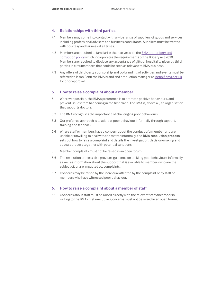#### **4. Relationships with third parties**

- 4.1 Members may come into contact with a wide range of suppliers of goods and services including professional advisers and business consultants. Suppliers must be treated with courtesy and fairness at all times.
- 4.2 Members are required to familiarise themselves with the BMA anti-bribery and corruption policy which incorporates the requirements of the Bribery Act 2010. Members are required to disclose any acceptance of gifts or hospitality given by third parties in circumstances that could be seen as relevant to BMA business.
- 4.3 Any offers of third-party sponsorship and co-branding of activities and events must be referred to Jason Penn the BMA brand and production manager at jpenn@bma.org.uk for prior approval.

#### **5. How to raise a complaint about a member**

- 5.1 Wherever possible, the BMA's preference is to promote positive behaviours, and prevent issues from happening in the first place. The BMA is, above all, an organisation that supports doctors.
- 5.2 The BMA recognises the importance of challenging poor behaviours.
- 5.3 Our preferred approach is to address poor behaviour informally through support, training and feedback.
- 5.4 Where staff or members have a concern about the conduct of a member, and are unable or unwilling to deal with the matter informally, the **BMA resolution process** sets out how to raise a complaint and details the investigation, decision-making and appeals process together with potential sanctions.
- 5.5 Member complaints must not be raised in an open forum.
- 5.6 The resolution process also provides guidance on tackling poor behaviours informally as well as information about the support that is available to members who are the subject of, or are impacted by, complaints.
- 5.7 Concerns may be raised by the individual affected by the complaint or by staff or members who have witnessed poor behaviour.

#### **6. How to raise a complaint about a member of staff**

6.1 Concerns about staff must be raised directly with the relevant staff director or in writing to the BMA chief executive. Concerns must not be raised in an open forum.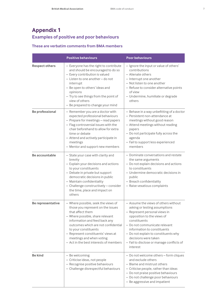## <span id="page-6-0"></span>**Appendix 1 Examples of positive and poor behaviours**

#### **These are verbatim comments from BMA members**

|                        | <b>Positive behaviours</b>                                                                                                                                                                                                                                                                                                                   | <b>Poor behaviours</b>                                                                                                                                                                                                                                                                                                                        |
|------------------------|----------------------------------------------------------------------------------------------------------------------------------------------------------------------------------------------------------------------------------------------------------------------------------------------------------------------------------------------|-----------------------------------------------------------------------------------------------------------------------------------------------------------------------------------------------------------------------------------------------------------------------------------------------------------------------------------------------|
| <b>Respect others</b>  | - Everyone has the right to contribute<br>and should be encouraged to do so<br>- Every contribution is valued<br>- Listen to one another-do not<br>interrupt<br>- Be open to others' ideas and<br>opinions<br>- Try to see things from the point of<br>view of others<br>- Be prepared to change your mind                                   | - Ignore the input or value of others'<br>contributions<br>- Alienate others<br>- Interrupt one another<br>- Not listen to one another<br>- Refuse to consider alternative points<br>of view<br>- Undermine, humiliate or degrade<br>others                                                                                                   |
| <b>Be professional</b> | - Remember you are a doctor with<br>expected professional behaviours<br>- Prepare for meetings - read papers<br>- Flag controversial issues with the<br>chair beforehand to allow for extra<br>time or debate<br>- Attend and actively participate in<br>meetings<br>- Mentor and support new members                                        | - Behave in a way unbefitting of a doctor<br>- Persistent non-attendance at<br>meetings without good reason<br>- Attend meetings without reading<br>papers<br>- Do not participate fully across the<br>agenda<br>- Fail to support less experienced<br>members                                                                                |
| Be accountable         | - State your case with clarity and<br>brevity<br>- Explain your decisions and actions<br>to your constituents<br>- Debate in private but support<br>democratic decisions in public<br>- Maintain confidentiality<br>- Challenge constructively - consider<br>the time, place and impact on<br>others                                         | - Dominate conversations and restate<br>the same arguments<br>- Do not explain decisions and actions<br>to constituents<br>- Undermine democratic decisions in<br>public<br>- Breach confidentiality<br>- Raise vexatious complaints                                                                                                          |
| Be representative      | - Where possible, seek the views of<br>those you represent on the issues<br>that affect them<br>- Where possible, share relevant<br>information and feed back any<br>outcomes which are not confidential<br>to your constituents<br>- Represent constituents' views at<br>meetings and when voting<br>- Act in the best interests of members | - Assume the views of others without<br>asking or testing assumptions<br>- Represent personal views in<br>opposition to the views of<br>constituents<br>- Do not communicate relevant<br>information to constituents<br>- Do not explain to constituents why<br>decisions were taken<br>- Fail to disclose or manage conflicts of<br>interest |
| <b>Be kind</b>         | - Be welcoming<br>- Criticise ideas, not people<br>- Recognise positive behaviours<br>- Challenge disrespectful behaviours                                                                                                                                                                                                                   | - Do not welcome others - form cliques<br>and exclude others<br>- Blame and mistrust others<br>- Criticise people, rather than ideas<br>- Do not praise positive behaviours<br>- Do not challenge poor behaviours<br>- Be aggressive and impatient                                                                                            |